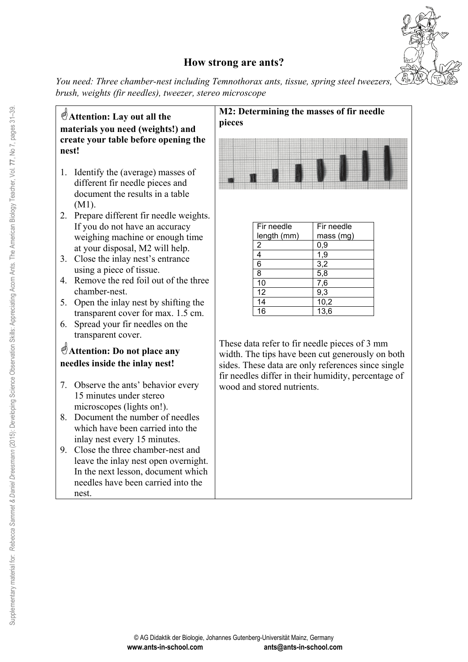

### **How strong are ants?**

*You need: Three chamber-nest including Temnothorax ants, tissue, spring steel tweezers, brush, weights (fir needles), tweezer, stereo microscope* 

**Attention: Lay out all the materials you need (weights!) and create your table before opening the nest!**

- 1. Identify the (average) masses of different fir needle pieces and document the results in a table (M1).
- 2. Prepare different fir needle weights. If you do not have an accuracy weighing machine or enough time at your disposal, M2 will help.
- 3. Close the inlay nest's entrance using a piece of tissue.
- 4. Remove the red foil out of the three chamber-nest.
- 5. Open the inlay nest by shifting the transparent cover for max. 1.5 cm.
- 6. Spread your fir needles on the transparent cover.

### **Attention: Do not place any needles inside the inlay nest!**

- 7. Observe the ants' behavior every 15 minutes under stereo microscopes (lights on!).
- 8. Document the number of needles which have been carried into the inlay nest every 15 minutes.
- 9. Close the three chamber-nest and leave the inlay nest open overnight. In the next lesson, document which needles have been carried into the nest.

#### **M2: Determining the masses of fir needle pieces**



| Fir needle      | Fir needle        |  |  |
|-----------------|-------------------|--|--|
| length (mm)     | mass (mg)         |  |  |
| 2               | 0,9               |  |  |
| 4               | 1,9               |  |  |
| 6               | 3,2               |  |  |
| 8               | 5,8               |  |  |
| 10              | 7,6               |  |  |
| $\overline{12}$ | 9,3               |  |  |
| 14              | $\overline{10,2}$ |  |  |
| 16              | 13,6              |  |  |

These data refer to fir needle pieces of 3 mm width. The tips have been cut generously on both sides. These data are only references since single fir needles differ in their humidity, percentage of wood and stored nutrients.